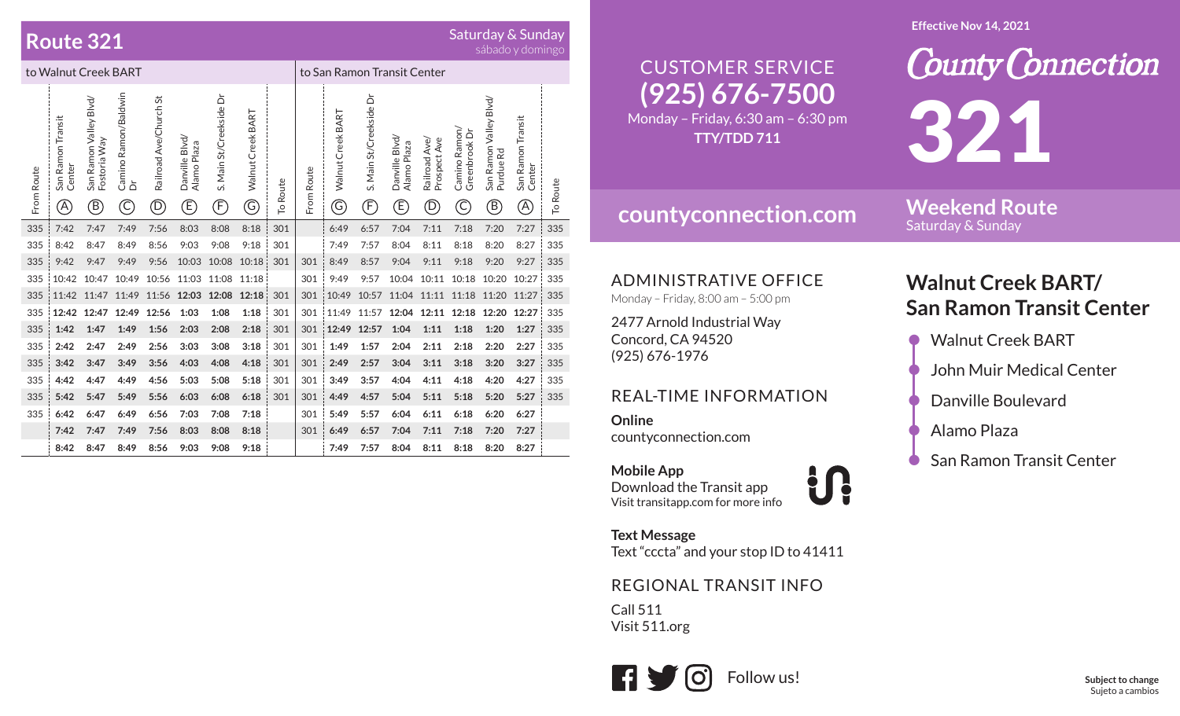### **Route 321**

# Saturday & Sunday<br>sábado y domingo

| to Walnut Creek BART |                                    |                                             |                                |                                      |                                    |                               |                           |          | to San Ramon Transit Center |                        |                               |                                                |                                        |                                                           |                                                                             |                                   |          |
|----------------------|------------------------------------|---------------------------------------------|--------------------------------|--------------------------------------|------------------------------------|-------------------------------|---------------------------|----------|-----------------------------|------------------------|-------------------------------|------------------------------------------------|----------------------------------------|-----------------------------------------------------------|-----------------------------------------------------------------------------|-----------------------------------|----------|
| From Route           | San Ramon Transit<br>Center<br>(A) | San Ramon Valley Blvd/<br>Fostoria Way<br>® | Camino Ramon/Baldwin<br>ځ<br>C | Railroad Ave/Church St<br>$\bigcirc$ | Danville Blvd/<br>Alamo Plaza<br>Ē | S. Main St/Creekside Dr<br>F) | BART<br>Walnut Creek<br>G | To Route | From Route                  | Walnut Creek BART<br>G | S. Main St/Creekside Dr<br>F) | Danville Blvd,<br>Alamo Plaza<br>$\mathcal{F}$ | Prospect Ave<br>Ave/<br>Railroad<br>D) | Camino Ramon/<br>Greenbrook Dr<br>$\widehat{\mathcal{C}}$ | San Ramon Valley Blvd/<br>Purdue Rd<br>$\left( \widehat{\mathsf{B}}\right)$ | San Ramon Transit<br>Center<br>A) | To Route |
| 335                  | 7:42                               | 7:47                                        | 7:49                           | 7:56                                 | 8:03                               | 8:08                          | 8:18                      | 301      |                             | 6:49                   | 6:57                          | 7:04                                           | 7:11                                   | 7:18                                                      | 7:20                                                                        | 7:27                              | 335      |
| 335                  | 8:42                               | 8:47                                        | 8:49                           | 8:56                                 | 9:03                               | 9:08                          | 9:18                      | 301      |                             | 7:49                   | 7:57                          | 8:04                                           | 8:11                                   | 8:18                                                      | 8:20                                                                        | 8:27                              | 335      |
| 335                  | 9:42                               | 9:47                                        | 9:49                           | 9:56                                 | 10:03                              | 10:08                         | 10:18                     | 301      | 301                         | 8:49                   | 8:57                          | 9:04                                           | 9:11                                   | 9:18                                                      | 9:20                                                                        | 9:27                              | 335      |
| 335                  | 10:42                              | 10:47                                       | 10:49                          | 10:56                                | 11:03                              | 11:08                         | 11:18                     |          | 301                         | 9:49                   | 9:57                          | 10:04                                          | 10:11                                  | 10:18                                                     | 10:20                                                                       | 10:27                             | 335      |
| 335                  | 11:42                              | 11:47                                       | 11:49                          | 11:56                                | 12:03                              | 12:08                         | 12:18                     | 301      | 301                         | 10:49                  | 10:57                         | 11:04                                          | 11:11                                  | 11:18                                                     | 11:20                                                                       | 11:27                             | 335      |
| 335                  | 12:42                              | 12:47                                       | 12:49                          | 12:56                                | 1:03                               | 1:08                          | 1:18                      | 301      | 301                         | 11:49                  | 11:57                         | 12:04                                          | 12:11                                  | 12:18                                                     | 12:20                                                                       | 12:27                             | 335      |
| 335                  | 1:42                               | 1:47                                        | 1:49                           | 1:56                                 | 2:03                               | 2:08                          | 2:18                      | 301      | 301                         | 12:49                  | 12:57                         | 1:04                                           | 1:11                                   | 1:18                                                      | 1:20                                                                        | 1:27                              | 335      |
| 335                  | 2:42                               | 2:47                                        | 2:49                           | 2:56                                 | 3:03                               | 3:08                          | 3:18                      | 301      | 301                         | 1:49                   | 1:57                          | 2:04                                           | 2:11                                   | 2:18                                                      | 2:20                                                                        | 2:27                              | 335      |
| 335                  | 3:42                               | 3:47                                        | 3:49                           | 3:56                                 | 4:03                               | 4:08                          | 4:18                      | 301      | 301                         | 2:49                   | 2:57                          | 3:04                                           | 3:11                                   | 3:18                                                      | 3:20                                                                        | 3:27                              | 335      |
| 335                  | 4:42                               | 4:47                                        | 4:49                           | 4:56                                 | 5:03                               | 5:08                          | 5:18                      | 301      | 301                         | 3:49                   | 3:57                          | 4:04                                           | 4:11                                   | 4:18                                                      | 4:20                                                                        | 4:27                              | 335      |
| 335                  | 5:42                               | 5:47                                        | 5:49                           | 5:56                                 | 6:03                               | 6:08                          | 6:18                      | 301      | 301                         | 4:49                   | 4:57                          | 5:04                                           | 5:11                                   | 5:18                                                      | 5:20                                                                        | 5:27                              | 335      |
| 335                  | 6:42                               | 6:47                                        | 6:49                           | 6:56                                 | 7:03                               | 7:08                          | 7:18                      |          | 301                         | 5:49                   | 5:57                          | 6:04                                           | 6:11                                   | 6:18                                                      | 6:20                                                                        | 6:27                              |          |
|                      | 7:42                               | 7:47                                        | 7:49                           | 7:56                                 | 8:03                               | 8:08                          | 8:18                      |          | 301                         | 6:49                   | 6:57                          | 7:04                                           | 7:11                                   | 7:18                                                      | 7:20                                                                        | 7:27                              |          |
|                      | 8:42                               | 8:47                                        | 8:49                           | 8:56                                 | 9:03                               | 9:08                          | 9:18                      |          |                             | 7:49                   | 7:57                          | 8:04                                           | 8:11                                   | 8:18                                                      | 8:20                                                                        | 8:27                              |          |

#### **Effective Nov 14, 2021**

#### **County Connection** CUSTOMER SERVICE**(925) 676-7500** 321Monday – Friday, 6:30 am – 6:30 pm **TTY/TDD 711**

**index** 

### **countyconnection.com**

**Weekend Route** Saturday & Sunday

ADMINISTRATIVE OFFICE

Monday – Friday, 8:00 am – 5:00 pm

2477 Arnold Industrial Way Concord, CA 94520 (925) 676-1976

#### REAL-TIME INFORMATION

**Online**countyconnection.com

**Mobile App** Download the Transit app Visit transitapp.com for more info

**Text Message** Text "cccta" and your stop ID to 41411

### REGIONAL TRANSIT INFO

Call 511Visit 511.org



## **Walnut Creek BART/ San Ramon Transit Center**

- Walnut Creek BART
- John Muir Medical Center
- Danville Boulevard
- Alamo Plaza
- San Ramon Transit Center

**Subject to change** Sujeto a cambios